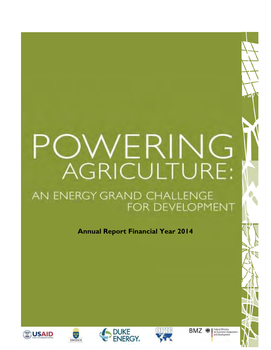# VERING **AGRICULTURE:**

### AN ENERGY GRAND CHALLENGE FOR DEVELOPMENT

**Annual Report Financial Year 2014** 









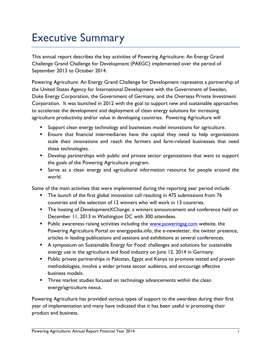## <span id="page-1-0"></span>Executive Summary

This annual report describes the key activities of Powering Agriculture: An Energy Grand Challenge Grand Challenge for Development (PAEGC) implemented over the period of September 2013 to October 2014.

Powering Agriculture: An Energy Grand Challenge for Development represents a partnership of the United States Agency for International Development with the Government of Sweden, Duke Energy Corporation, the Government of Germany, and the Overseas Private Investment Corporation. It was launched in 2012 with the goal to support new and sustainable approaches to accelerate the development and deployment of clean energy solutions for increasing agriculture productivity and/or value in developing countries. Powering Agriculture will

- **Support clean energy technology and businesses model innovations for agriculture.**
- Ensure that financial intermediaries have the capital they need to help organizations scale their innovations and reach the farmers and farm-related businesses that need these technologies.
- **Develop partnerships with public and private sector organizations that want to support** the goals of the Powering Agriculture program.
- Serve as a clean energy and agricultural information resource for people around the world.

Some of the main activities that were implemented during the reporting year period include

- The launch of the first global innovation call resulting in 475 submissions from 76 countries and the selection of 12 winners who will work in 13 countries.
- The hosting of DevelopmentXChange: a winners announcement and conference held on December 11, 2013 in Washington DC with 300 attendees.
- Public awareness raising activities including the [www.poweringag.com](http://www.poweringag.com/) website, the Powering Agriculture Portal on energypedia.info, the e-newsletter, the twitter presence, articles in leading publications and sessions and exhibitions at several conferences.
- A symposium on Sustainable Energy for Food: challenges and solutions for sustainable energy use in the agriculture and food industry on June 12, 2014 in Germany.
- **Public private partnerships in Pakistan, Egypt and Kenya to promote tested and proven** methodologies, involve a wider private sector audience, and encourage effective business models.
- **Three market studies focused on technology advancements within the clean** energy/agriculture nexus.

Powering Agriculture has provided various types of support to the awardees during their first year of implementation and many have indicated that it has been useful in promoting their product and business.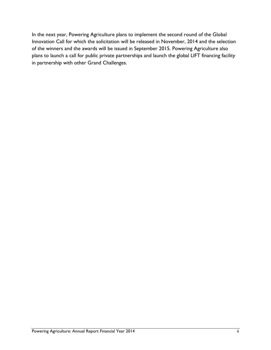In the next year, Powering Agriculture plans to implement the second round of the Global Innovation Call for which the solicitation will be released in November, 2014 and the selection of the winners and the awards will be issued in September 2015. Powering Agriculture also plans to launch a call for public private partnerships and launch the global LIFT financing facility in partnership with other Grand Challenges.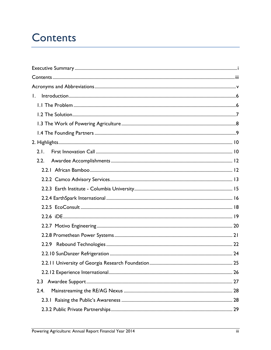## <span id="page-3-0"></span>**Contents**

| $\mathbf{L}$ |  |
|--------------|--|
|              |  |
|              |  |
|              |  |
|              |  |
|              |  |
| 2.1.         |  |
| 2.2.         |  |
|              |  |
|              |  |
|              |  |
|              |  |
|              |  |
|              |  |
|              |  |
|              |  |
|              |  |
|              |  |
|              |  |
|              |  |
| 2.3          |  |
| 2.4.         |  |
|              |  |
|              |  |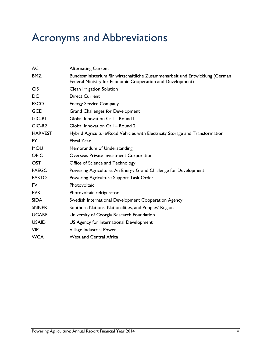<span id="page-5-0"></span>

| AC                 | <b>Alternating Current</b>                                                                                                                 |
|--------------------|--------------------------------------------------------------------------------------------------------------------------------------------|
| <b>BMZ</b>         | Bundesministerium für wirtschaftliche Zusammenarbeit und Entwicklung (German<br>Federal Ministry for Economic Cooperation and Development) |
| <b>CIS</b>         | Clean Irrigation Solution                                                                                                                  |
| DC                 | <b>Direct Current</b>                                                                                                                      |
| <b>ESCO</b>        | <b>Energy Service Company</b>                                                                                                              |
| <b>GCD</b>         | <b>Grand Challenges for Development</b>                                                                                                    |
| <b>GIC-RI</b>      | Global Innovation Call - Round I                                                                                                           |
| GIC-R <sub>2</sub> | Global Innovation Call - Round 2                                                                                                           |
| <b>HARVEST</b>     | Hybrid Agriculture/Road Vehicles with Electricity Storage and Transformation                                                               |
| FY.                | <b>Fiscal Year</b>                                                                                                                         |
| <b>MOU</b>         | Memorandum of Understanding                                                                                                                |
| <b>OPIC</b>        | Overseas Private Investment Corporation                                                                                                    |
| <b>OST</b>         | Office of Science and Technology                                                                                                           |
| <b>PAEGC</b>       | Powering Agriculture: An Energy Grand Challenge for Development                                                                            |
| <b>PASTO</b>       | Powering Agriculture Support Task Order                                                                                                    |
| <b>PV</b>          | Photovoltaic                                                                                                                               |
| <b>PVR</b>         | Photovoltaic refrigerator                                                                                                                  |
| <b>SIDA</b>        | Swedish International Development Cooperation Agency                                                                                       |
| <b>SNNPR</b>       | Southern Nations, Nationalities, and Peoples' Region                                                                                       |
| <b>UGARF</b>       | University of Georgia Research Foundation                                                                                                  |
| <b>USAID</b>       | US Agency for International Development                                                                                                    |
| <b>VIP</b>         | Village Industrial Power                                                                                                                   |
| <b>WCA</b>         | <b>West and Central Africa</b>                                                                                                             |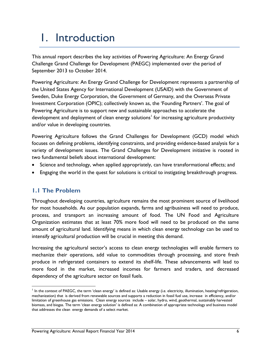## <span id="page-6-0"></span>1. Introduction

This annual report describes the key activities of Powering Agriculture: An Energy Grand Challenge Grand Challenge for Development (PAEGC) implemented over the period of September 2013 to October 2014.

Powering Agriculture: An Energy Grand Challenge for Development represents a partnership of the United States Agency for International Development (USAID) with the Government of Sweden, Duke Energy Corporation, the Government of Germany, and the Overseas Private Investment Corporation (OPIC); collectively known as, the 'Founding Partners'. The goal of Powering Agriculture is to support new and sustainable approaches to accelerate the development and deployment of clean energy solutions<sup>1</sup> for increasing agriculture productivity and/or value in developing countries.

Powering Agriculture follows the Grand Challenges for Development (GCD) model which focuses on defining problems, identifying constraints, and providing evidence-based analysis for a variety of development issues. The Grand Challenges for Development initiative is rooted in two fundamental beliefs about international development:

- Science and technology, when applied appropriately, can have transformational effects; and
- <span id="page-6-1"></span>Engaging the world in the quest for solutions is critical to instigating breakthrough progress.

#### **1.1 The Problem**

 $\overline{a}$ 

Throughout developing countries, agriculture remains the most prominent source of livelihood for most households. As our population expands, farms and agribusiness will need to produce, process, and transport an increasing amount of food. The UN Food and Agriculture Organization estimates that at least 70% more food will need to be produced on the same amount of agricultural land. Identifying means in which clean energy technology can be used to intensify agricultural production will be crucial in meeting this demand.

Increasing the agricultural sector's access to clean energy technologies will enable farmers to mechanize their operations, add value to commodities through processing, and store fresh produce in refrigerated containers to extend its shelf-life. These advancements will lead to more food in the market, increased incomes for farmers and traders, and decreased dependency of the agriculture sector on fossil fuels.

In the context of PAEGC, the term 'clean energy' is defined as: Usable energy (i.e. electricity, illumination, heating/refrigeration, mechanization) that is derived from renewable sources and supports a reduction in fossil fuel use, increase in efficiency, and/or limitation of greenhouse gas emissions. Clean energy sources include – solar, hydro, wind, geothermal, sustainably harvested biomass, and biogas. The term 'clean energy solution' is defined as: A combination of appropriate technology and business model that addresses the clean energy demands of a select market.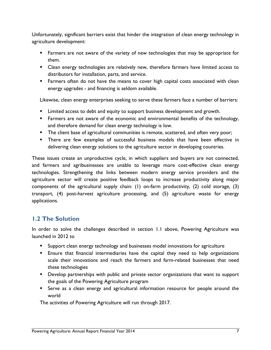Unfortunately, significant barriers exist that hinder the integration of clean energy technology in agriculture development:

- **Farmers are not aware of the variety of new technologies that may be appropriate for** them.
- **EXP** Clean energy technologies are relatively new, therefore farmers have limited access to distributors for installation, parts, and service.
- **Farmers often do not have the means to cover high capital costs associated with clean** energy upgrades - and financing is seldom available.

Likewise, clean energy enterprises seeking to serve these farmers face a number of barriers:

- **EXECO** Limited access to debt and equity to support business development and growth.
- **Farmers are not aware of the economic and environmental benefits of the technology,** and therefore demand for clean energy technology is low.
- **The client base of agricultural communities is remote, scattered, and often very poor;**
- There are few examples of successful business models that have been effective in delivering clean energy solutions to the agriculture sector in developing countries.

These issues create an unproductive cycle, in which suppliers and buyers are not connected, and farmers and agribusinesses are unable to leverage more cost-effective clean energy technologies. Strengthening the links between modern energy service providers and the agriculture sector will create positive feedback loops to increase productivity along major components of the agricultural supply chain: (1) on-farm productivity, (2) cold storage, (3) transport, (4) post-harvest agriculture processing, and (5) agriculture waste for energy applications.

#### <span id="page-7-0"></span>**1.2 The Solution**

In order to solve the challenges described in section 1.1 above, Powering Agriculture was launched in 2012 to

- Support clean energy technology and businesses model innovations for agriculture
- Ensure that financial intermediaries have the capital they need to help organizations scale their innovations and reach the farmers and farm-related businesses that need these technologies
- **Develop partnerships with public and private sector organizations that want to support** the goals of the Powering Agriculture program
- Serve as a clean energy and agricultural information resource for people around the world

The activities of Powering Agriculture will run through 2017.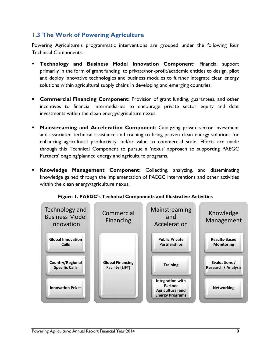#### <span id="page-8-0"></span>**1.3 The Work of Powering Agriculture**

Powering Agriculture's programmatic interventions are grouped under the following four Technical Components:

- **Technology and Business Model Innovation Component:** Financial support primarily in the form of grant funding to private/non-profit/academic entities to design, pilot and deploy innovative technologies and business modules to further integrate clean energy solutions within agricultural supply chains in developing and emerging countries.
- **Commercial Financing Component:** Provision of grant funding, guarantees, and other incentives to financial intermediaries to encourage private sector equity and debt investments within the clean energy/agriculture nexus.
- **Mainstreaming and Acceleration Component:** Catalyzing private-sector investment and associated technical assistance and training to bring proven clean energy solutions for enhancing agricultural productivity and/or value to commercial scale. Efforts are made through this Technical Component to pursue a 'nexus' approach to supporting PAEGC Partners' ongoing/planned energy and agriculture programs.
- **Knowledge Management Component:** Collecting, analyzing, and disseminating knowledge gained through the implementation of PAEGC interventions and other activities within the clean energy/agriculture nexus.



**Figure 1. PAEGC's Technical Components and Illustrative Activities**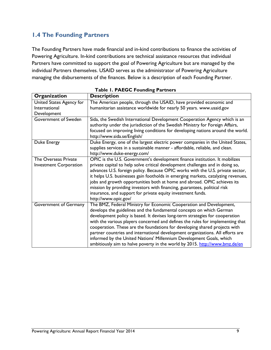#### <span id="page-9-0"></span>**1.4 The Founding Partners**

The Founding Partners have made financial and in-kind contributions to finance the activities of Powering Agriculture. In-kind contributions are technical assistance resources that individual Partners have committed to support the goal of Powering Agriculture but are managed by the individual Partners themselves. USAID serves as the administrator of Powering Agriculture managing the disbursements of the finances. Below is a description of each Founding Partner.

| Organization                  | <b>Description</b>                                                                                                                                                                                                                                                                                                                                                                                                                                                                                                                                                                                                                  |  |  |
|-------------------------------|-------------------------------------------------------------------------------------------------------------------------------------------------------------------------------------------------------------------------------------------------------------------------------------------------------------------------------------------------------------------------------------------------------------------------------------------------------------------------------------------------------------------------------------------------------------------------------------------------------------------------------------|--|--|
| United States Agency for      | The American people, through the USAID, have provided economic and                                                                                                                                                                                                                                                                                                                                                                                                                                                                                                                                                                  |  |  |
| International                 | humanitarian assistance worldwide for nearly 50 years. www.usaid.gov                                                                                                                                                                                                                                                                                                                                                                                                                                                                                                                                                                |  |  |
| Development                   |                                                                                                                                                                                                                                                                                                                                                                                                                                                                                                                                                                                                                                     |  |  |
| Government of Sweden          | Sida, the Swedish International Development Cooperation Agency which is an                                                                                                                                                                                                                                                                                                                                                                                                                                                                                                                                                          |  |  |
|                               | authority under the jurisdiction of the Swedish Ministry for Foreign Affairs,                                                                                                                                                                                                                                                                                                                                                                                                                                                                                                                                                       |  |  |
|                               | focused on improving living conditions for developing nations around the world.<br>http://www.sida.se/English/                                                                                                                                                                                                                                                                                                                                                                                                                                                                                                                      |  |  |
| Duke Energy                   | Duke Energy, one of the largest electric power companies in the United States,<br>supplies services in a sustainable manner - affordable, reliable, and clean.<br>http://www.duke-energy.com/                                                                                                                                                                                                                                                                                                                                                                                                                                       |  |  |
| The Overseas Private          | OPIC is the U.S. Government's development finance institution. It mobilizes                                                                                                                                                                                                                                                                                                                                                                                                                                                                                                                                                         |  |  |
| <b>Investment Corporation</b> | private capital to help solve critical development challenges and in doing so,<br>advances U.S. foreign policy. Because OPIC works with the U.S. private sector,<br>it helps U.S. businesses gain footholds in emerging markets, catalyzing revenues,<br>jobs and growth opportunities both at home and abroad. OPIC achieves its<br>mission by providing investors with financing, guarantees, political risk<br>insurance, and support for private equity investment funds.<br>http://www.opic.gov/                                                                                                                               |  |  |
| Government of Germany         | The BMZ, Federal Ministry for Economic Cooperation and Development,<br>develops the guidelines and the fundamental concepts on which German<br>development policy is based. It devises long-term strategies for cooperation<br>with the various players concerned and defines the rules for implementing that<br>cooperation. These are the foundations for developing shared projects with<br>partner countries and international development organizations. All efforts are<br>informed by the United Nations' Millennium Development Goals, which<br>ambitiously aim to halve poverty in the world by 2015. http://www.bmz.de/en |  |  |

**Table 1. PAEGC Founding Partners**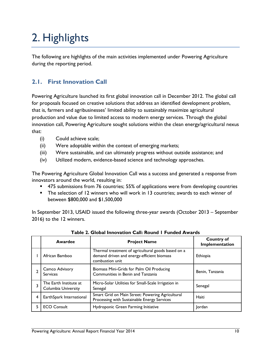# <span id="page-10-0"></span>2. Highlights

The following are highlights of the main activities implemented under Powering Agriculture during the reporting period.

#### <span id="page-10-1"></span>**2.1. First Innovation Call**

Powering Agriculture launched its first global innovation call in December 2012. The global call for proposals focused on creative solutions that address an identified development problem, that is, farmers and agribusinesses' limited ability to sustainably maximize agricultural production and value due to limited access to modern energy services. Through the global innovation call, Powering Agriculture sought solutions within the clean energy/agricultural nexus that:

- (i) Could achieve scale;
- (ii) Were adoptable within the context of emerging markets;
- (iii) Were sustainable, and can ultimately progress without outside assistance; and
- (iv) Utilized modern, evidence-based science and technology approaches.

The Powering Agriculture Global Innovation Call was a success and generated a response from innovators around the world, resulting in:

- 475 submissions from 76 countries; 55% of applications were from developing countries
- The selection of 12 winners who will work in 13 countries; awards to each winner of between \$800,000 and \$1,500,000

In September 2013, USAID issued the following three-year awards (October 2013 – September 2016) to the 12 winners.

|   | Awardee                                              | <b>Project Name</b>                                                                                                 | <b>Country of</b><br>Implementation |
|---|------------------------------------------------------|---------------------------------------------------------------------------------------------------------------------|-------------------------------------|
|   | African Bamboo                                       | Thermal treatment of agricultural goods based on a<br>demand driven and energy-efficient biomass<br>combustion unit | Ethiopia                            |
|   | Camco Advisory<br><b>Services</b>                    | Biomass Mini-Grids for Palm Oil Producing<br>Communities in Benin and Tanzania                                      | Benin, Tanzania                     |
| 3 | The Earth Institute at<br><b>Columbia University</b> | Micro-Solar Utilities for Small-Scale Irrigation in<br>Senegal                                                      | Senegal                             |
| 4 | EarthSpark International                             | Smart Grid on Main Street: Powering Agricultural<br>Processing with Sustainable Energy Services                     | Haiti                               |
| 5 | <b>ECO Consult</b>                                   | Hydroponic Green Farming Initiative                                                                                 | Jordan                              |

**Table 2. Global Innovation Call: Round 1 Funded Awards**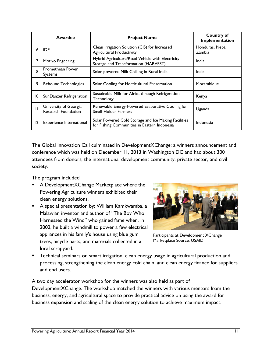|                 | Awardee                                             | <b>Project Name</b>                                                                                  | <b>Country of</b><br>Implementation |
|-----------------|-----------------------------------------------------|------------------------------------------------------------------------------------------------------|-------------------------------------|
| 6               | iDE                                                 | Clean Irrigation Solution (CIS) for Increased<br><b>Agricultural Productivity</b>                    | Honduras, Nepal,<br>Zambia          |
| 7               | Motivo Engeering                                    | Hybrid Agriculture/Road Vehicle with Electricity<br>Storage and Transformation (HARVEST)             | India                               |
| 8               | Promethean Power<br><b>Systems</b>                  | Solar-powered Milk Chilling in Rural India                                                           | India                               |
| 9               | Rebound Technologies                                | Solar Cooling for Horticultural Preservation                                                         | Mozambique                          |
| $\overline{10}$ | SunDanzer Refrigeration                             | Sustainable Milk for Africa through Refrigeration<br>Technology                                      | Kenya                               |
| $\mathbf{H}$    | University of Georgia<br><b>Research Foundation</b> | Renewable Energy-Powered Evaporative Cooling for<br><b>Small-Holder Farmers</b>                      | Uganda                              |
| 12              | Experience International                            | Solar Powered Cold Storage and Ice Making Facilities<br>for Fishing Communities in Eastern Indonesia | Indonesia                           |

The Global Innovation Call culminated in DevelopmentXChange: a winners announcement and conference which was held on December 11, 2013 in Washington DC and had about 300 attendees from donors, the international development community, private sector, and civil society.

The program included

- A DevelopmentXChange Marketplace where the Powering Agriculture winners exhibited their clean energy solutions.
- A special presentation by: William Kamkwamba, a Malawian inventor and author of "The Boy Who Harnessed the Wind" who gained fame when, in 2002, he built a windmill to power a few electrical appliances in his family's house using blue gum trees, bicycle parts, and materials collected in a local scrapyard.



Participants at Development XChange Marketplace Source: USAID

 Technical seminars on smart irrigation, clean energy usage in agricultural production and processing, strengthening the clean energy cold chain, and clean energy finance for suppliers and end users.

A two day accelerator workshop for the winners was also held as part of DevelopmentXChange. The workshop matched the winners with various mentors from the business, energy, and agricultural space to provide practical advice on using the award for business expansion and scaling of the clean energy solution to achieve maximum impact.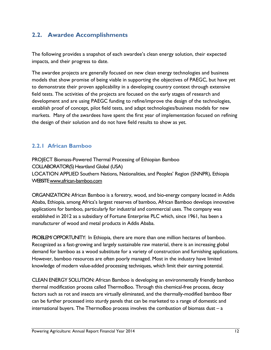#### <span id="page-12-0"></span>**2.2. Awardee Accomplishments**

The following provides a snapshot of each awardee's clean energy solution, their expected impacts, and their progress to date.

The awardee projects are generally focused on new clean energy technologies and business models that show promise of being viable in supporting the objectives of PAEGC, but have yet to demonstrate their proven applicability in a developing country context through extensive field tests. The activities of the projects are focused on the early stages of research and development and are using PAEGC funding to refine/improve the design of the technologies, establish proof of concept, pilot field tests, and adapt technologies/business models for new markets. Many of the awardees have spent the first year of implementation focused on refining the design of their solution and do not have field results to show as yet.

#### <span id="page-12-1"></span>**2.2.1 African Bamboo**

PROJECT Biomass-Powered Thermal Processing of Ethiopian Bamboo COLLABORATOR(S) Heartland Global (USA) LOCATION APPLIED Southern Nations, Nationalities, and Peoples' Region (SNNPR), Ethiopia WEBSIT[E www.african-bamboo.com](http://www.african-bamboo.com/)

ORGANIZATION: African Bamboo is a forestry, wood, and bio-energy company located in Addis Ababa, Ethiopia, among Africa's largest reserves of bamboo, African Bamboo develops innovative applications for bamboo, particularly for industrial and commercial uses. The company was established in 2012 as a subsidiary of Fortune Enterprise PLC which, since 1961, has been a manufacturer of wood and metal products in Addis Ababa.

PROBLEM/ OPPORTUNITY: In Ethiopia, there are more than one million hectares of bamboo. Recognized as a fast-growing and largely sustainable raw material, there is an increasing global demand for bamboo as a wood substitute for a variety of construction and furnishing applications. However, bamboo resources are often poorly managed. Most in the industry have limited knowledge of modern value-added processing techniques, which limit their earning potential.

CLEAN ENERGY SOLUTION: African Bamboo is developing an environmentally friendly bamboo thermal modification process called ThermoBoo. Through this chemical-free process, decay factors such as rot and insects are virtually eliminated, and the thermally-modified bamboo fiber can be further processed into sturdy panels that can be marketed to a range of domestic and international buyers. The ThermoBoo process involves the combustion of biomass dust – a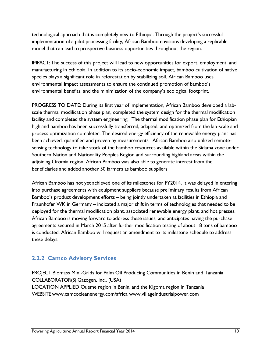technological approach that is completely new to Ethiopia. Through the project's successful implementation of a pilot processing facility, African Bamboo envisions developing a replicable model that can lead to prospective business opportunities throughout the region.

IMPACT: The success of this project will lead to new opportunities for export, employment, and manufacturing in Ethiopia. In addition to its socio-economic impact, bamboo cultivation of native species plays a significant role in reforestation by stabilizing soil. African Bamboo uses environmental impact assessments to ensure the continued promotion of bamboo's environmental benefits, and the minimization of the company's ecological footprint.

PROGRESS TO DATE: During its first year of implementation, African Bamboo developed a labscale thermal modification phase plan, completed the system design for the thermal modification facility and completed the system engineering. The thermal modification phase plan for Ethiopian highland bamboo has been successfully transferred, adapted, and optimized from the lab-scale and process optimization completed. The desired energy efficiency of the renewable energy plant has been achieved, quantified and proven by measurements. African Bamboo also utilized remotesensing technology to take stock of the bamboo resources available within the Sidama zone under Southern Nation and Nationality Peoples Region and surrounding highland areas within the adjoining Oromia region. African Bamboo was also able to generate interest from the beneficiaries and added another 50 farmers as bamboo suppliers

African Bamboo has not yet achieved one of its milestones for FY2014. It was delayed in entering into purchase agreements with equipment suppliers because preliminary results from African Bamboo's product development efforts – being jointly undertaken at facilities in Ethiopia and Fraunhofer WK in Germany – indicated a major shift in terms of technologies that needed to be deployed for the thermal modification plant, associated renewable energy plant, and hot presses. African Bamboo is moving forward to address these issues, and anticipates having the purchase agreements secured in March 2015 after further modification testing of about 18 tons of bamboo is conducted. African Bamboo will request an amendment to its milestone schedule to address these delays.

#### <span id="page-13-0"></span>**2.2.2 Camco Advisory Services**

PROJECT Biomass Mini-Grids for Palm Oil Producing Communities in Benin and Tanzania COLLABORATOR(S) Gazogen, Inc., (USA) LOCATION APPLIED Oueme region in Benin, and the Kigoma region in Tanzania WEBSITE [www.camcocleanenergy.com/africa](http://www.camcocleanenergy.com/africa) [www.villageindustrialpower.com](http://www.villageindustrialpower.com/)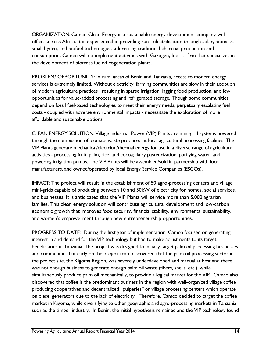ORGANIZATION: Camco Clean Energy is a sustainable energy development company with offices across Africa. It is experienced in providing rural electrification through solar, biomass, small hydro, and biofuel technologies, addressing traditional charcoal production and consumption. Camco will co-implement activities with Gazogen, Inc – a firm that specializes in the development of biomass fueled cogeneration plants.

PROBLEM/ OPPORTUNITY: In rural areas of Benin and Tanzania, access to modern energy services is extremely limited. Without electricity, farming communities are slow in their adoption of modern agriculture practices– resulting in sparse irrigation, lagging food production, and few opportunities for value-added processing and refrigerated storage. Though some communities depend on fossil fuel-based technologies to meet their energy needs, perpetually escalating fuel costs - coupled with adverse environmental impacts - necessitate the exploration of more affordable and sustainable options.

CLEAN ENERGY SOLUTION: Village Industrial Power (VIP) Plants are mini-grid systems powered through the combustion of biomass waste produced at local agricultural processing facilities. The VIP Plants generate mechanical/electrical/thermal energy for use in a diverse range of agricultural activities - processing fruit, palm, rice, and cocoa; dairy pasteurization; purifying water; and powering irrigation pumps. The VIP Plants will be assembled/sold in partnership with local manufacturers, and owned/operated by local Energy Service Companies (ESCOs).

IMPACT: The project will result in the establishment of 50 agro-processing centers and village mini-grids capable of producing between 10 and 50kW of electricity for homes, social services, and businesses. It is anticipated that the VIP Plants will service more than 5,000 agrarian families. This clean energy solution will contribute agricultural development and low-carbon economic growth that improves food security, financial stability, environmental sustainability, and women's empowerment through new entrepreneurship opportunities.

PROGRESS TO DATE: During the first year of implementation, Camco focused on generating interest in and demand for the VIP technology but had to make adjustments to its target beneficiaries in Tanzania. The project was designed to initially target palm oil processing businesses and communities but early on the project team discovered that the palm oil processing sector in the project site, the Kigoma Region, was severely underdeveloped and manual at best and there was not enough business to generate enough palm oil waste (fibers, shells, etc.), while simultaneously produce palm oil mechanically, to provide a logical market for the VIP. Camco also discovered that coffee is the predominant business in the region with well-organized village coffee producing cooperatives and decentralized "pulperies" or village processing centers which operate on diesel generators due to the lack of electricity. Therefore, Camco decided to target the coffee market in Kigoma, while diversifying to other geographic and agro-processing markets in Tanzania such as the timber industry. In Benin, the initial hypothesis remained and the VIP technology found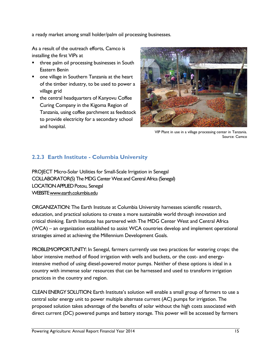a ready market among small holder/palm oil processing businesses.

As a result of the outreach efforts, Camco is installing the first VIPs at

- three palm oil processing businesses in South Eastern Benin
- one village in Southern Tanzania at the heart of the timber industry, to be used to power a village grid
- the central headquarters of Kanyovu Coffee Curing Company in the Kigoma Region of Tanzania, using coffee parchment as feedstock to provide electricity for a secondary school and hospital.



VIP Plant in use in a village processing center in Tanzania. Source: Camco

#### <span id="page-15-0"></span>**2.2.3 Earth Institute - Columbia University**

PROJECT Micro-Solar Utilities for Small-Scale Irrigation in Senegal COLLABORATOR(S) The MDG Center West and Central Africa (Senegal) LOCATION APPLIED Potou, Senegal WEBSIT[E www.earth.columbia.edu](http://www.earth.columbia.edu/)

ORGANIZATION: The Earth Institute at Columbia University harnesses scientific research, education, and practical solutions to create a more sustainable world through innovation and critical thinking. Earth Institute has partnered with The MDG Center West and Central Africa (WCA) – an organization established to assist WCA countries develop and implement operational strategies aimed at achieving the Millennium Development Goals.

PROBLEM/OPPORTUNITY: In Senegal, farmers currently use two practices for watering crops: the labor intensive method of flood irrigation with wells and buckets, or the cost- and energyintensive method of using diesel-powered motor pumps. Neither of these options is ideal in a country with immense solar resources that can be harnessed and used to transform irrigation practices in the country and region.

CLEAN ENERGY SOLUTION: Earth Institute's solution will enable a small group of farmers to use a central solar energy unit to power multiple alternate current (AC) pumps for irrigation. The proposed solution takes advantage of the benefits of solar without the high costs associated with direct current (DC) powered pumps and battery storage. This power will be accessed by farmers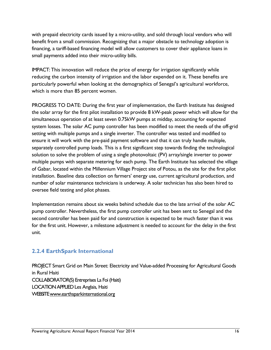with prepaid electricity cards issued by a micro-utility, and sold through local vendors who will benefit from a small commission. Recognizing that a major obstacle to technology adoption is financing, a tariff-based financing model will allow customers to cover their appliance loans in small payments added into their micro-utility bills.

IMPACT: This innovation will reduce the price of energy for irrigation significantly while reducing the carbon intensity of irrigation and the labor expended on it. These benefits are particularly powerful when looking at the demographics of Senegal's agricultural workforce, which is more than 85 percent women.

PROGRESS TO DATE: During the first year of implementation, the Earth Institute has designed the solar array for the first pilot installation to provide 8 kW-peak power which will allow for the simultaneous operation of at least seven 0.75kW pumps at midday, accounting for expected system losses. The solar AC pump controller has been modified to meet the needs of the off-grid setting with multiple pumps and a single inverter. The controller was tested and modified to ensure it will work with the pre-paid payment software and that it can truly handle multiple, separately controlled pump loads. This is a first significant step towards finding the technological solution to solve the problem of using a single photovoltaic (PV) array/single inverter to power multiple pumps with separate metering for each pump. The Earth Institute has selected the village of Gabar, located within the Millennium Village Project site of Potou, as the site for the first pilot installation. Baseline data collection on farmers' energy use, current agricultural production, and number of solar maintenance technicians is underway. A solar technician has also been hired to oversee field testing and pilot phases.

Implementation remains about six weeks behind schedule due to the late arrival of the solar AC pump controller. Nevertheless, the first pump controller unit has been sent to Senegal and the second controller has been paid for and construction is expected to be much faster than it was for the first unit. However, a milestone adjustment is needed to account for the delay in the first unit.

#### <span id="page-16-0"></span>**2.2.4 EarthSpark International**

PROJECT Smart Grid on Main Street: Electricity and Value-added Processing for Agricultural Goods in Rural Haiti COLLABORATOR(S) Entreprises La Foi (Haiti) LOCATION APPLIED Les Anglais, Haiti WEBSIT[E www.earthsparkinternational.org](http://www.earthsparkinternational.org/)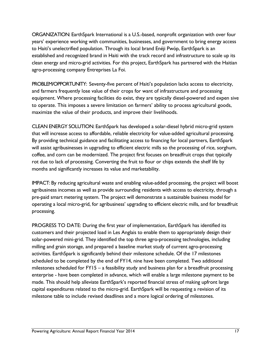ORGANIZATION: EarthSpark International is a U.S.-based, nonprofit organization with over four years' experience working with communities, businesses, and government to bring energy access to Haiti's unelectrified population. Through its local brand Enéji Pwóp, EarthSpark is an established and recognized brand in Haiti with the track record and infrastructure to scale up its clean energy and micro-grid activities. For this project, EarthSpark has partnered with the Haitian agro-processing company Entreprises La Foi.

PROBLEM/OPPORTUNITY: Seventy-five percent of Haiti's population lacks access to electricity, and farmers frequently lose value of their crops for want of infrastructure and processing equipment. Where processing facilities do exist, they are typically diesel-powered and expen sive to operate. This imposes a severe limitation on farmers' ability to process agricultural goods, maximize the value of their products, and improve their livelihoods.

CLEAN ENERGY SOLUTION: EarthSpark has developed a solar-diesel hybrid micro-grid system that will increase access to affordable, reliable electricity for value-added agricultural processing. By providing technical guidance and facilitating access to financing for local partners, EarthSpark will assist agribusinesses in upgrading to efficient electric mills so the processing of rice, sorghum, coffee, and corn can be modernized. The project first focuses on breadfruit crops that typically rot due to lack of processing. Converting the fruit to flour or chips extends the shelf life by months and significantly increases its value and marketability.

IMPACT: By reducing agricultural waste and enabling value-added processing, the project will boost agribusiness incomes as well as provide surrounding residents with access to electricity, through a pre-paid smart metering system. The project will demonstrate a sustainable business model for operating a local micro-grid, for agribusiness' upgrading to efficient electric mills, and for breadfruit processing.

PROGRESS TO DATE: During the first year of implementation, EarthSpark has identified its customers and their projected load in Les Anglais to enable them to appropriately design their solar-powered mini-grid. They identified the top three agro-processing technologies, including milling and grain storage, and prepared a baseline market study of current agro-processing activities. EarthSpark is significantly behind their milestone schedule. Of the 17 milestones scheduled to be completed by the end of FY14, nine have been completed. Two additional milestones scheduled for FY15 – a feasibility study and business plan for a breadfruit processing enterprise - have been completed in advance, which will enable a large milestone payment to be made. This should help alleviate EarthSpark's reported financial stress of making upfront large capital expenditures related to the micro-grid. EarthSpark will be requesting a revision of its milestone table to include revised deadlines and a more logical ordering of milestones.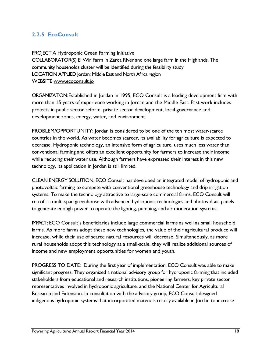#### <span id="page-18-0"></span>**2.2.5 EcoConsult**

PROJECT A Hydroponic Green Farming Initiative COLLABORATOR(S) El Wir Farm in Zarqa River and one large farm in the Highlands. The community households cluster will be identified during the feasibility study LOCATION APPLIED Jordan; Middle East and North Africa region WEBSITE [www.ecoconsult.jo](http://www.ecoconsult.jo/)

ORGANIZATION: Established in Jordan in 1995, ECO Consult is a leading development firm with more than 15 years of experience working in Jordan and the Middle East. Past work includes projects in public sector reform, private sector development, local governance and development zones, energy, water, and environment.

PROBLEM/OPPORTUNITY: Jordan is considered to be one of the ten most water-scarce countries in the world. As water becomes scarcer, its availability for agriculture is expected to decrease. Hydroponic technology, an intensive form of agriculture, uses much less water than conventional farming and offers an excellent opportunity for farmers to increase their income while reducing their water use. Although farmers have expressed their interest in this new technology, its application in Jordan is still limited.

CLEAN ENERGY SOLUTION: ECO Consult has developed an integrated model of hydroponic and photovoltaic farming to compete with conventional greenhouse technology and drip irrigation systems. To make the technology attractive to large-scale commercial farms, ECO Consult will retrofit a multi-span greenhouse with advanced hydroponic technologies and photovoltaic panels to generate enough power to operate the lighting, pumping, and air moderation systems.

IMPACT: ECO Consult's beneficiaries include large commercial farms as well as small household farms. As more farms adopt these new technologies, the value of their agricultural produce will increase, while their use of scarce natural resources will decrease. Simultaneously, as more rural households adopt this technology at a small-scale, they will realize additional sources of income and new employment opportunities for women and youth.

PROGRESS TO DATE: During the first year of implementation, ECO Consult was able to make significant progress. They organized a national advisory group for hydroponic farming that included stakeholders from educational and research institutions, pioneering farmers, key private sector representatives involved in hydroponic agriculture, and the National Center for Agricultural Research and Extension. In consultation with the advisory group, ECO Consult designed indigenous hydroponic systems that incorporated materials readily available in Jordan to increase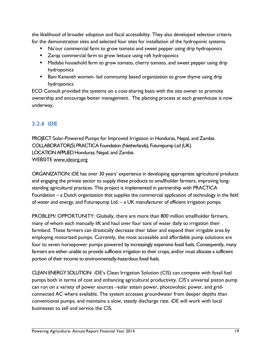the likelihood of broader adoption and fiscal accessibility. They also developed selection criteria for the demonstration sites and selected four sites for installation of the hydroponic systems.

- Na'our commercial farm to grow tomato and sweet pepper using drip hydroponics
- **EXT** Zarqa commercial farm to grow lettuce using raft hydroponics
- **Madaba household farm to grow tomato, cherry tomato, and sweet pepper using drip** hydroponics
- **Bani Kananeh women- led community based organization to grow thyme using drip** hydroponics

ECO Consult provided the systems on a cost-sharing basis with the site owner to promote ownership and encourage better management. The planting process at each greenhouse is now underway.

#### <span id="page-19-0"></span>**2.2.6 iDE**

PROJECT Solar-Powered Pumps for Improved Irrigation in Honduras, Nepal, and Zambia COLLABORATOR(S) PRACTICA Foundation (Netherlands), Futurepump Ltd (UK) LOCATION APPLIED Honduras; Nepal; and Zambia WEBSITE [www.ideorg.org](http://www.ideorg.org/)

ORGANIZATION: iDE has over 30 years' experience in developing appropriate agricultural products and engaging the private sector to supply these products to smallholder farmers, improving longstanding agricultural practices. This project is implemented in partnership with PRACTICA Foundation – a Dutch organization that supplies the commercial application of technology in the field of water and energy, and Futurepump Ltd. – a UK manufacturer of efficient irrigation pumps.

PROBLEM/ OPPORTUNITY: Globally, there are more than 800 million smallholder farmers, many of whom each manually lift and haul over four tons of water daily to irrigation their farmland. These farmers can drastically decrease their labor and expand their irrigable area by employing motorized pumps. Currently, the most accessible and affordable pump solutions are four to seven horsepower pumps powered by increasingly expensive fossil fuels. Consequently, many farmers are either unable to provide sufficient irrigation to their crops, and/or must allocate a sufficient portion of their income to environmentally-hazardous fossil fuels.

CLEAN ENERGY SOLUTION: iDE's Clean Irrigation Solution (CIS) can compete with fossil fuel pumps both in terms of cost and enhancing agricultural productivity. CIS's universal piston pump can run on a variety of power sources –solar steam power, photovoltaic power, and gridconnected AC where available. The system accesses groundwater from deeper depths than conventional pumps, and maintains a slow, steady discharge rate. iDE will work with local businesses to sell and service the CIS.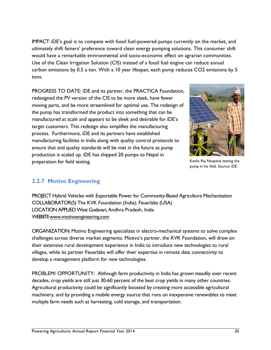IMPACT: iDE's goal is to compete with fossil fuel-powered pumps currently on the market, and ultimately shift famers' preference toward clean energy pumping solutions. This consumer shift would have a remarkable environmental and socio-economic effect on agrarian communities. Use of the Clean Irrigation Solution (CIS) instead of a fossil fuel engine can reduce annual carbon emissions by 0.5 a ton. With a 10 year lifespan, each pump reduces CO2 emissions by 5 tons.

PROGRESS TO DATE: iDE and its partner, the PRACTICA Foundation, redesigned the PV version of the CIS to be more sleek, have fewer moving parts, and be more streamlined for optimal use. The redesign of the pump has transformed the product into something that can be manufactured at scale and appears to be sleek and desirable for iDE's target customers. This redesign also simplifies the manufacturing process. Furthermore, iDE and its partners have established manufacturing facilities in India along with quality control protocols to ensure that and quality standards will be met in the future as pump production is scaled up. iDE has shipped 20 pumps to Nepal in preparation for field testing.



Kesha Raj Neupane testing the pump in his field. Source: iDE

#### <span id="page-20-0"></span>**2.2.7 Motivo Engineering**

PROJECT Hybrid Vehicles with Exportable Power for Community-Based Agriculture Mechanization COLLABORATOR(S) The KVK Foundation (India); Feuerlabs (USA) LOCATION APPLIED West Godavari, Andhra Pradesh, India WEBSIT[E www.motivoengineering.com](http://www.motivoengineering.com/)

ORGANIZATION: Motivo Engineering specializes in electro-mechanical systems to solve complex challenges across diverse market segments. Motivo's partner, the KVK Foundation, will draw on their extensive rural development experience in India to introduce new technologies to rural villages, while its partner Feuerlabs will offer their expertise in remote data connectivity to develop a management platform for new technologies.

PROBLEM/ OPPORTUNITY: Although farm productivity in India has grown steadily over recent decades, crop yields are still just 30-60 percent of the best crop yields in many other countries. Agricultural productivity could be significantly boosted by creating more accessible agricultural machinery, and by providing a mobile energy source that runs on inexpensive renewables to meet multiple farm needs such as harvesting, cold storage, and transportation.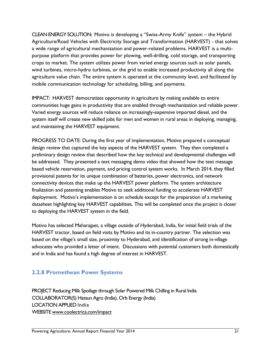CLEAN ENERGY SOLUTION: Motivo is developing a "Swiss-Army Knife" system – the Hybrid Agriculture/Road Vehicles with Electricity Storage and Transformation (HARVEST) - that solves a wide range of agricultural mechanization and power-related problems. HARVEST is a multipurpose platform that provides power for plowing, well-drilling, cold storage, and transporting crops to market. The system utilizes power from varied energy sources such as solar panels, wind turbines, micro-hydro turbines, or the grid to enable increased productivity all along the agriculture value chain. The entire system is operated at the community level, and facilitated by mobile communication technology for scheduling, billing, and payments.

IMPACT: HARVEST democratizes opportunity in agriculture by making available to entire communities huge gains in productivity that are enabled through mechanization and reliable power. Varied energy sources will reduce reliance on increasingly-expensive imported diesel, and the system itself will create new skilled jobs for men and women in rural areas in deploying, managing, and maintaining the HARVEST equipment.

PROGRESS TO DATE: During the first year of implementation, Motivo prepared a conceptual design review that captured the key aspects of the HARVEST system. They then completed a preliminary design review that described how the key technical and developmental challenges will be addressed. They presented a text messaging demo video that showed how the text message based vehicle reservation, payment, and pricing control system works. In March 2014, they filled provisional patents for its unique combination of batteries, power electronics, and network connectivity devices that make up the HARVEST power platform. The system architecture finalization and patenting enables Motivo to seek additional funding to accelerate HARVEST deployment. Motivo's implementation is on schedule except for the preparation of a marketing datasheet highlighting key HARVEST capabilities. This will be completed once the project is closer to deploying the HARVEST system in the field.

Motivo has selected Maharajpet, a village outside of Hyderabad, India, for initial field trials of the HARVEST tractor, based on field visits by Motivo and its in-country partner. The selection was based on the village's small size, proximity to Hyderabad, and identification of strong in-village advocates who provided a letter of intent. Discussions with potential customers both domestically and in India and has found a high degree of interest in HARVEST.

#### <span id="page-21-0"></span>**2.2.8 Promethean Power Systems**

PROJECT Reducing Milk Spoilage through Solar Powered Milk Chilling in Rural India COLLABORATOR(S) Hatsun Agro (India), Orb Energy (India) LOCATION APPLIED India WEBSITE [www.coolectrica.com/impact](http://www.coolectrica.com/impact)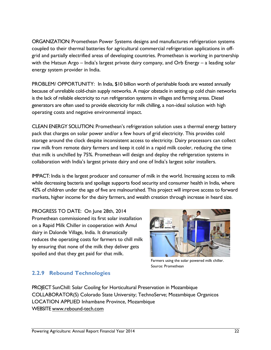ORGANIZATION: Promethean Power Systems designs and manufactures refrigeration systems coupled to their thermal batteries for agricultural commercial refrigeration applications in offgrid and partially electrified areas of developing countries. Promethean is working in partnership with the Hatsun Argo – India's largest private dairy company, and Orb Energy – a leading solar energy system provider in India.

PROBLEM/ OPPORTUNITY: In India, \$10 billion worth of perishable foods are wasted annually because of unreliable cold-chain supply networks. A major obstacle in setting up cold chain networks is the lack of reliable electricity to run refrigeration systems in villages and farming areas. Diesel generators are often used to provide electricity for milk chilling, a non-ideal solution with high operating costs and negative environmental impact.

CLEAN ENERGY SOLUTION: Promethean's refrigeration solution uses a thermal energy battery pack that charges on solar power and/or a few hours of grid electricity. This provides cold storage around the clock despite inconsistent access to electricity. Dairy processors can collect raw milk from remote dairy farmers and keep it cold in a rapid milk cooler, reducing the time that milk is unchilled by 75%. Promethean will design and deploy the refrigeration systems in collaboration with India's largest private dairy and one of India's largest solar installers.

IMPACT: India is the largest producer and consumer of milk in the world. Increasing access to milk while decreasing bacteria and spoilage supports food security and consumer health in India, where 42% of children under the age of five are malnourished. This project will improve access to forward markets, higher income for the dairy farmers, and wealth creation through increase in heard size.

PROGRESS TO DATE: On June 28th, 2014 Promethean commissioned its first solar installation on a Rapid Milk Chiller in cooperation with Amul dairy in Dalonde Village, India. It dramatically reduces the operating costs for farmers to chill milk by ensuring that none of the milk they deliver gets spoiled and that they get paid for that milk.



Farmers using the solar powered milk chiller. Source: Promethean

#### <span id="page-22-0"></span>**2.2.9 Rebound Technologies**

PROJECT SunChill: Solar Cooling for Horticultural Preservation in Mozambique COLLABORATOR(S) Colorado State University; TechnoServe; Mozambique Organicos LOCATION APPLIED Inhambane Province, Mozambique WEBSITE [www.rebound-tech.com](http://www.rebound-tech.com/)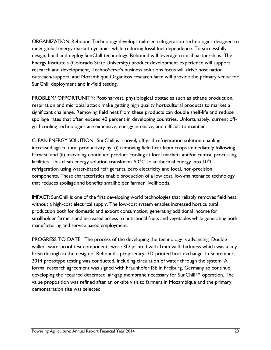ORGANIZATION: Rebound Technology develops tailored refrigeration technologies designed to meet global energy market dynamics while reducing fossil fuel dependence. To successfully design, build and deploy SunChill technology, Rebound will leverage critical partnerships. The Energy Institute's (Colorado State University) product development experience will support research and development, TechnoServe's business solutions focus will drive host nation outreach/support, and Mozambique Organicos research farm will provide the primary venue for SunChill deployment and in-field testing.

PROBLEM/ OPPORTUNITY: Post-harvest, physiological obstacles such as ethane production, respiration and microbial attack make getting high quality horticultural products to market a significant challenge. Removing field heat from these products can double shelf-life and reduce spoilage rates that often exceed 40 percent in developing countries. Unfortunately, current offgrid cooling technologies are expensive, energy intensive, and difficult to maintain.

CLEAN ENERGY SOLUTION: SunChill is a novel, off-grid refrigeration solution enabling increased agricultural productivity by: (i) removing field heat from crops immediately following harvest, and (ii) providing continued product cooling at local markets and/or central processing facilities. This clean energy solution transforms 50°C solar thermal energy into 10°C refrigeration using water-based refrigerants, zero electricity and local, non-precision components. These characteristics enable production of a low cost, low-maintenance technology that reduces spoilage and benefits smallholder farmer livelihoods.

IMPACT: SunChill is one of the first developing world technologies that reliably removes field heat without a high-cost electrical supply. The low-cost system enables increased horticultural production both for domestic and export consumption, generating additional income for smallholder farmers and increased access to nutritional fruits and vegetables while generating both manufacturing and service based employment.

PROGRESS TO DATE: The process of the developing the technology is advancing. Doublewalled, waterproof test components were 3D-printed with 1mm wall thickness which was a key breakthrough in the design of Rebound's proprietary, 3D-printed heat exchange. In September, 2014 prototype testing was conducted, including circulation of water through the system. A formal research agreement was signed with Fraunhofer ISE in Freiburg, Germany to continue developing the required deaerated, air-gap membrane necessary for SunChill™ operation. The value proposition was refined after an on-site visit to farmers in Mozambique and the primary demonstration site was selected.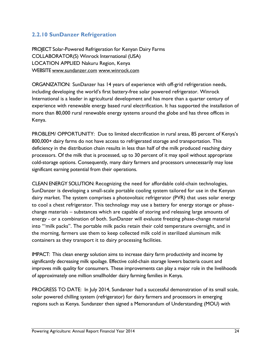#### <span id="page-24-0"></span>**2.2.10 SunDanzer Refrigeration**

PROJECT Solar-Powered Refrigeration for Kenyan Dairy Farms COLLABORATOR(S) Winrock International (USA) LOCATION APPLIED Nakuru Region, Kenya WEBSITE [www.sundanzer.com](http://www.sundanzer.com/) [www.winrock.com](http://www.winrock.com/)

ORGANIZATION: SunDanzer has 14 years of experience with off-grid refrigeration needs, including developing the world's first battery-free solar powered refrigerator. Winrock International is a leader in agricultural development and has more than a quarter century of experience with renewable energy based rural electrification. It has supported the installation of more than 80,000 rural renewable energy systems around the globe and has three offices in Kenya.

PROBLEM/ OPPORTUNITY: Due to limited electrification in rural areas, 85 percent of Kenya's 800,000+ dairy farms do not have access to refrigerated storage and transportation. This deficiency in the distribution chain results in less than half of the milk produced reaching dairy processors. Of the milk that is processed, up to 30 percent of it may spoil without appropriate cold-storage options. Consequently, many dairy farmers and processors unnecessarily may lose significant earning potential from their operations.

CLEAN ENERGY SOLUTION: Recognizing the need for affordable cold-chain technologies, SunDanzer is developing a small-scale portable cooling system tailored for use in the Kenyan dairy market. The system comprises a photovoltaic refrigerator (PVR) that uses solar energy to cool a chest refrigerator. This technology may use a battery for energy storage or phasechange materials – substances which are capable of storing and releasing large amounts of energy - or a combination of both. SunDanzer will evaluate freezing phase-change material into "'milk packs". The portable milk packs retain their cold temperature overnight, and in the morning, farmers use them to keep collected milk cold in sterilized aluminum milk containers as they transport it to dairy processing facilities.

IMPACT: This clean energy solution aims to increase dairy farm productivity and income by significantly decreasing milk spoilage. Effective cold-chain storage lowers bacteria count and improves milk quality for consumers. These improvements can play a major role in the livelihoods of approximately one million smallholder dairy farming families in Kenya.

PROGRESS TO DATE: In July 2014, Sundanzer had a successful demonstration of its small scale, solar powered chilling system (refrigerator) for dairy farmers and processors in emerging regions such as Kenya. Sundanzer then signed a Memorandum of Understanding (MOU) with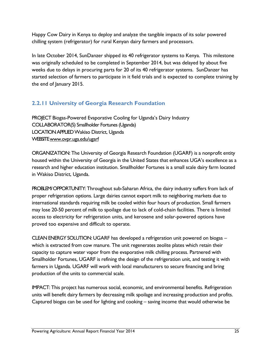Happy Cow Dairy in Kenya to deploy and analyze the tangible impacts of its solar powered chilling system (refrigerator) for rural Kenyan dairy farmers and processors.

In late October 2014, SunDanzer shipped its 40 refrigerator systems to Kenya. This milestone was originally scheduled to be completed in September 2014, but was delayed by about five weeks due to delays in procuring parts for 20 of its 40 refrigerator systems. SunDanzer has started selection of farmers to participate in it field trials and is expected to complete training by the end of January 2015.

#### <span id="page-25-0"></span>**2.2.11 University of Georgia Research Foundation**

PROJECT Biogas-Powered Evaporative Cooling for Uganda's Dairy Industry COLLABORATOR(S) Smallholder Fortunes (Uganda) LOCATION APPLIED Wakiso District, Uganda WEBSIT[E www.ovpr.uga.edu/ugarf](http://www.ovpr.uga.edu/ugarf)

ORGANIZATION: The University of Georgia Research Foundation (UGARF) is a nonprofit entity housed within the University of Georgia in the United States that enhances UGA's excellence as a research and higher education institution. Smallholder Fortunes is a small scale dairy farm located in Wakiso District, Uganda.

PROBLEM/ OPPORTUNITY: Throughout sub-Saharan Africa, the dairy industry suffers from lack of proper refrigeration options. Large dairies cannot export milk to neighboring markets due to international standards requiring milk be cooled within four hours of production. Small farmers may lose 20-50 percent of milk to spoilage due to lack of cold-chain facilities. There is limited access to electricity for refrigeration units, and kerosene and solar-powered options have proved too expensive and difficult to operate.

CLEAN ENERGY SOLUTION: UGARF has developed a refrigeration unit powered on biogas – which is extracted from cow manure. The unit regenerates zeolite plates which retain their capacity to capture water vapor from the evaporative milk chilling process. Partnered with Smallholder Fortunes, UGARF is refining the design of the refrigeration unit, and testing it with farmers in Uganda. UGARF will work with local manufacturers to secure financing and bring production of the units to commercial scale.

IMPACT: This project has numerous social, economic, and environmental benefits. Refrigeration units will benefit dairy farmers by decreasing milk spoilage and increasing production and profits. Captured biogas can be used for lighting and cooking – saving income that would otherwise be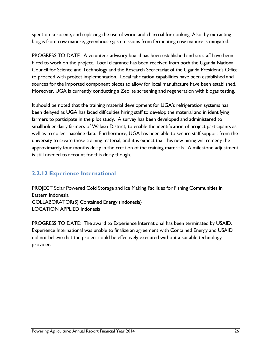spent on kerosene, and replacing the use of wood and charcoal for cooking. Also, by extracting biogas from cow manure, greenhouse gas emissions from fermenting cow manure is mitigated.

PROGRESS TO DATE: A volunteer advisory board has been established and six staff have been hired to work on the project. Local clearance has been received from both the Uganda National Council for Science and Technology and the Research Secretariat of the Uganda President's Office to proceed with project implementation. Local fabrication capabilities have been established and sources for the imported component pieces to allow for local manufacture have been established. Moreover, UGA is currently conducting a Zeolite screening and regeneration with biogas testing.

It should be noted that the training material development for UGA's refrigeration systems has been delayed as UGA has faced difficulties hiring staff to develop the material and in identifying farmers to participate in the pilot study. A survey has been developed and administered to smallholder dairy farmers of Wakiso District, to enable the identification of project participants as well as to collect baseline data. Furthermore, UGA has been able to secure staff support from the university to create these training material, and it is expect that this new hiring will remedy the approximately four months delay in the creation of the training materials. A milestone adjustment is still needed to account for this delay though.

#### <span id="page-26-0"></span>**2.2.12 Experience International**

PROJECT Solar Powered Cold Storage and Ice Making Facilities for Fishing Communities in Eastern Indonesia COLLABORATOR(S) Contained Energy (Indonesia) LOCATION APPLIED Indonesia

PROGRESS TO DATE: The award to Experience International has been terminated by USAID. Experience International was unable to finalize an agreement with Contained Energy and USAID did not believe that the project could be effectively executed without a suitable technology provider.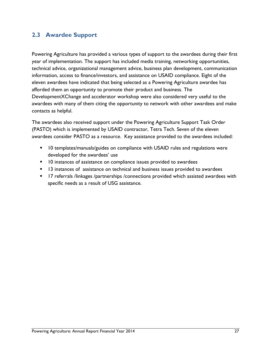#### <span id="page-27-0"></span>**2.3 Awardee Support**

Powering Agriculture has provided a various types of support to the awardees during their first year of implementation. The support has included media training, networking opportunities, technical advice, organizational management advice, business plan development, communication information, access to finance/investors, and assistance on USAID compliance. Eight of the eleven awardees have indicated that being selected as a Powering Agriculture awardee has afforded them an opportunity to promote their product and business. The DevelopmentXChange and accelerator workshop were also considered very useful to the awardees with many of them citing the opportunity to network with other awardees and make contacts as helpful.

The awardees also received support under the Powering Agriculture Support Task Order (PASTO) which is implemented by USAID contractor, Tetra Tech. Seven of the eleven awardees consider PASTO as a resource. Key assistance provided to the awardees included:

- 10 templates/manuals/guides on compliance with USAID rules and regulations were developed for the awardees' use
- **10** instances of assistance on compliance issues provided to awardees
- **13** instances of assistance on technical and business issues provided to awardees
- **17** referrals /linkages /partnerships /connections provided which assisted awardees with specific needs as a result of USG assistance.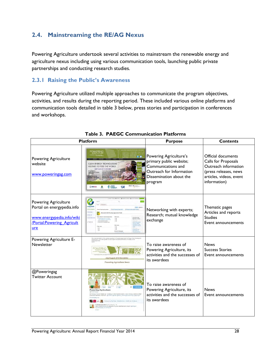#### <span id="page-28-0"></span>**2.4. Mainstreaming the RE/AG Nexus**

Powering Agriculture undertook several activities to mainstream the renewable energy and agriculture nexus including using various communication tools, launching public private partnerships and conducting research studies.

#### <span id="page-28-1"></span>**2.3.1 Raising the Public's Awareness**

Powering Agriculture utilized multiple approaches to communicate the program objectives, activities, and results during the reporting period. These included various online platforms and communication tools detailed in table 3 below, press stories and participation in conferences and workshops.

| <b>Platform</b>                                                                                                             |                                                                                                                                                                                                                                                                                                                                          | <b>Purpose</b>                                                                                                                            | <b>Contents</b>                                                                                                                       |
|-----------------------------------------------------------------------------------------------------------------------------|------------------------------------------------------------------------------------------------------------------------------------------------------------------------------------------------------------------------------------------------------------------------------------------------------------------------------------------|-------------------------------------------------------------------------------------------------------------------------------------------|---------------------------------------------------------------------------------------------------------------------------------------|
| Powering Agriculture<br>website<br>www.poweringag.com                                                                       | POWERING<br>19<br><b>ENERGY TECHNOLOGIES</b><br>HELPING TO FEED THE WORLD<br>WEET OUR 2013 WINNERS<br><b>BMZ #L</b><br>ENERGY<br><b>BUSAID</b><br>V.P                                                                                                                                                                                    | Powering Agriculture's<br>primary public website;<br>Communications and<br>Outreach for Information<br>Dissemination about the<br>program | Official documents<br>Calls for Proposals<br>Outreach information<br>(press releases, news<br>articles, videos, event<br>information) |
| <b>Powering Agriculture</b><br>Portal on energypedia.info<br>www.energypedia.info/wiki<br>/Portal: Powering Agricult<br>ure | nergyper<br><b>AFOR Articos -</b><br>Chegy Du<br>Cross Cutti<br>$P$ is a<br>Other top<br>Other tops<br>$\frac{1}{10}$<br>$-108$                                                                                                                                                                                                          | Networking with experts;<br>Research; mutual knowledge<br>exchange                                                                        | Thematic pages<br>Articles and reports<br><b>Studies</b><br>Event announcements                                                       |
| Powering Agriculture E-<br>Newsletter                                                                                       | .<br>This is the first walken of the mantitity neseletter for Powering Agriculture. An Ensingy Craind Challenge for<br>Development. It provides updates on the program and shares information of interest on the<br><b>July/August 2014 Newslette</b><br><b>Powering Agriculture News</b>                                                | To raise awareness of<br>Powering Agriculture, its<br>activities and the successes of<br>its awardees                                     | <b>News</b><br><b>Success Stories</b><br>Event announcements                                                                          |
| @Poweringag<br><b>Twitter Account</b>                                                                                       | 1.306<br><b>Powering Agriculture</b><br>gy Grand Challenge: working to find market-based, clean energy solutions<br>if farmers, Partners, @USAID @Sida @@MZ. Bund @DukeEnergy @opic<br>Followed by Raj Shah, GlobalDovLab, USAID and 12 other<br>ow much #energy is required to grow and harvest crops? @ElAge<br>powermoag ow Iv/Dsg.IM | To raise awareness of<br>Powering Agriculture, its<br>activities and the successes of<br>its awardees                                     | <b>News</b><br>Event announcements                                                                                                    |

**Table 3. PAEGC Communication Platforms**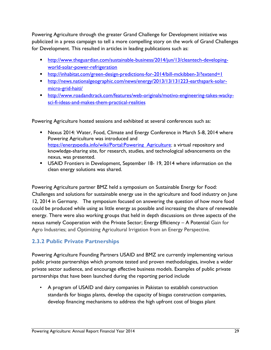Powering Agriculture through the greater Grand Challenge for Development initiative was publicized in a press campaign to tell a more compelling story on the work of Grand Challenges for Development. This resulted in articles in leading publications such as:

- [http://www.theguardian.com/sustainable-business/2014/jun/13/cleantech-developing](http://www.theguardian.com/sustainable-business/2014/jun/13/cleantech-developing-world-solar-power-refrigeration)[world-solar-power-refrigeration](http://www.theguardian.com/sustainable-business/2014/jun/13/cleantech-developing-world-solar-power-refrigeration)
- <http://inhabitat.com/green-design-predictions-for-2014/bill-mckibben-3/?extend=1>
- [http://news.nationalgeographic.com/news/energy/2013/13/131223-earthspark-solar](http://news.nationalgeographic.com/news/energy/2013/13/131223-earthspark-solar-micro-grid-haiti/)[micro-grid-haiti/](http://news.nationalgeographic.com/news/energy/2013/13/131223-earthspark-solar-micro-grid-haiti/)
- [http://www.roadandtrack.com/features/web-originals/motivo-engineering-takes-wacky](http://www.roadandtrack.com/features/web-originals/motivo-engineering-takes-wacky-sci-fi-ideas-and-makes-them-practical-realities)[sci-fi-ideas-and-makes-them-practical-realities](http://www.roadandtrack.com/features/web-originals/motivo-engineering-takes-wacky-sci-fi-ideas-and-makes-them-practical-realities)

Powering Agriculture hosted sessions and exhibited at several conferences such as:

- **Nexus 2014: Water, Food, Climate and Energy Conference in March 5-8, 2014 where** Powering Agriculture was introduced and https://energypedia.info/wiki/Portal:Powering Agriculture; a virtual repository and knowledge-sharing site, for research, studies, and technological advancements on the nexus, was presented.
- USAID Frontiers in Development, September 18- 19, 2014 where information on the clean energy solutions was shared.

Powering Agriculture partner BMZ held a symposium on Sustainable Energy for Food: Challenges and solutions for sustainable energy use in the agriculture and food industry on June 12, 2014 in Germany. The symposium focused on answering the question of how more food could be produced while using as little energy as possible and increasing the share of renewable energy. There were also working groups that held in depth discussions on three aspects of the nexus namely Cooperation with the Private Sector; Energy Efficiency – A Potential Gain for Agro Industries; and Optimizing Agricultural Irrigation from an Energy Perspective.

#### <span id="page-29-0"></span>**2.3.2 Public Private Partnerships**

Powering Agriculture Founding Partners USAID and BMZ are currently implementing various public private partnerships which promote tested and proven methodologies, involve a wider private sector audience, and encourage effective business models. Examples of public private partnerships that have been launched during the reporting period include

• A program of USAID and dairy companies in Pakistan to establish construction standards for biogas plants, develop the capacity of biogas construction companies, develop financing mechanisms to address the high upfront cost of biogas plant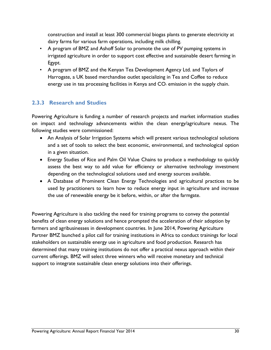construction and install at least 300 commercial biogas plants to generate electricity at dairy farms for various farm operations, including milk chilling.

- A program of BMZ and Ashoff Solar to promote the use of PV pumping systems in irrigated agriculture in order to support cost effective and sustainable desert farming in Egypt.
- A program of BMZ and the Kenyan Tea Development Agency Ltd. and Taylors of Harrogate, a UK based merchandise outlet specializing in Tea and Coffee to reduce energy use in tea processing facilities in Kenya and  $CO<sub>2</sub>$  emission in the supply chain.

#### <span id="page-30-0"></span>**2.3.3 Research and Studies**

Powering Agriculture is funding a number of research projects and market information studies on impact and technology advancements within the clean energy/agriculture nexus. The following studies were commissioned:

- An Analysis of Solar Irrigation Systems which will present various technological solutions and a set of tools to select the best economic, environmental, and technological option in a given situation.
- Energy Studies of Rice and Palm Oil Value Chains to produce a methodology to quickly assess the best way to add value for efficiency or alternative technology investment depending on the technological solutions used and energy sources available.
- A Database of Prominent Clean Energy Technologies and agricultural practices to be used by practitioners to learn how to reduce energy input in agriculture and increase the use of renewable energy be it before, within, or after the farmgate.

Powering Agriculture is also tackling the need for training programs to convey the potential benefits of clean energy solutions and hence prompted the acceleration of their adoption by farmers and agribusinesses in development countries. In June 2014, Powering Agriculture Partner BMZ launched a pilot call for training institutions in Africa to conduct trainings for local stakeholders on sustainable energy use in agriculture and food production. Research has determined that many training institutions do not offer a practical nexus approach within their current offerings. BMZ will select three winners who will receive monetary and technical support to integrate sustainable clean energy solutions into their offerings.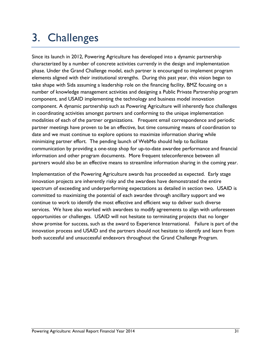# <span id="page-31-0"></span>3. Challenges

Since its launch in 2012, Powering Agriculture has developed into a dynamic partnership characterized by a number of concrete activities currently in the design and implementation phase. Under the Grand Challenge model, each partner is encouraged to implement program elements aligned with their institutional strengths. During this past year, this vision began to take shape with Sida assuming a leadership role on the financing facility, BMZ focusing on a number of knowledge management activities and designing a Public Private Partnership program component, and USAID implementing the technology and business model innovation component. A dynamic partnership such as Powering Agriculture will inherently face challenges in coordinating activities amongst partners and conforming to the unique implementation modalities of each of the partner organizations. Frequent email correspondence and periodic partner meetings have proven to be an effective, but time consuming means of coordination to date and we must continue to explore options to maximize information sharing while minimizing partner effort. The pending launch of WebMo should help to facilitate communication by providing a one-stop shop for up-to-date awardee performance and financial information and other program documents. More frequent teleconference between all partners would also be an effective means to streamline information sharing in the coming year.

Implementation of the Powering Agriculture awards has proceeded as expected. Early stage innovation projects are inherently risky and the awardees have demonstrated the entire spectrum of exceeding and underperforming expectations as detailed in section two. USAID is committed to maximizing the potential of each awardee through ancillary support and we continue to work to identify the most effective and efficient way to deliver such diverse services. We have also worked with awardees to modify agreements to align with unforeseen opportunities or challenges. USAID will not hesitate to terminating projects that no longer show promise for success, such as the award to Experience International. Failure is part of the innovation process and USAID and the partners should not hesitate to identify and learn from both successful and unsuccessful endeavors throughout the Grand Challenge Program.